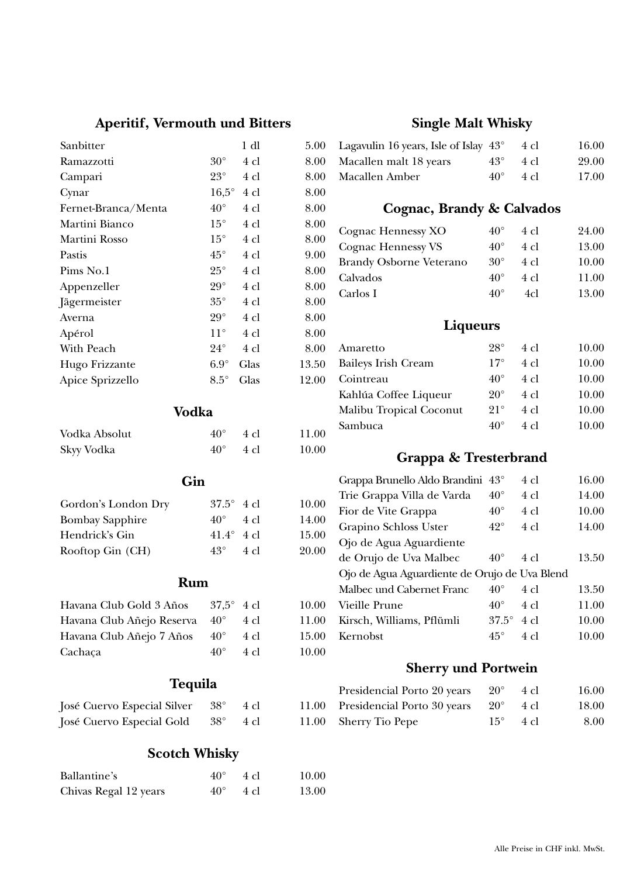# **Aperitif, Vermouth und Bitters**

| Sanbitter           |                | $1$ dl | 5.00  |
|---------------------|----------------|--------|-------|
| Ramazzotti          | $30^{\circ}$   | 4 cl   | 8.00  |
| Campari             | $23^{\circ}$   | 4 cl   | 8.00  |
| Cynar               | $16,5^{\circ}$ | 4 cl   | 8.00  |
| Fernet-Branca/Menta | $40^{\circ}$   | 4 cl   | 8.00  |
| Martini Bianco      | $15^{\circ}$   | 4 cl   | 8.00  |
| Martini Rosso       | $15^{\circ}$   | 4 cl   | 8.00  |
| Pastis              | $45^{\circ}$   | 4 cl   | 9.00  |
| Pims No.1           | $25^{\circ}$   | 4 cl   | 8.00  |
| Appenzeller         | $29^{\circ}$   | 4 cl   | 8.00  |
| Jägermeister        | $35^{\circ}$   | 4 cl   | 8.00  |
| Averna              | $29^{\circ}$   | 4 cl   | 8.00  |
| Apérol              | $11^{\circ}$   | 4 cl   | 8.00  |
| With Peach          | $24^{\circ}$   | 4 cl   | 8.00  |
| Hugo Frizzante      | $6.9^\circ$    | Glas   | 13.50 |
| Apice Sprizzello    | $8.5^{\circ}$  | Glas   | 12.00 |
|                     | Vodka          |        |       |
| Vodka Absolut       | $40^{\circ}$   | 4 cl   | 11.00 |

| <u>VOQNA I IDIOIAC</u> | $\cdots$ | .                 | .     |
|------------------------|----------|-------------------|-------|
| Skyy Vodka             |          | $40^{\circ}$ 4 cl | 10.00 |
|                        |          |                   |       |

## **Gin**

| Gordon's London Dry    | $37.5^{\circ}$ 4 cl |                | 10.00 |
|------------------------|---------------------|----------------|-------|
| <b>Bombay Sapphire</b> | $40^{\circ}$        | 4 cl           | 14.00 |
| Hendrick's Gin         | 41.4 $\degree$ 4 cl |                | 15.00 |
| Rooftop Gin (CH)       | $43^{\circ}$        | $4 \text{ cl}$ | 20.00 |

## **Rum**

| Havana Club Gold 3 Años       | 37.5 $^{\circ}$ 4 cl |      | 10.00 |
|-------------------------------|----------------------|------|-------|
| Havana Club Añejo Reserva 40° |                      | 4 cl | 11.00 |
| Havana Club Añejo 7 Años      | $40^{\circ}$         | 4 cl | 15.00 |
| Cachaca                       | $40^{\circ}$         | 4 cl | 10.00 |

# **Tequila**

| José Cuervo Especial Silver 38° |              | -4 cl | 11.00 |
|---------------------------------|--------------|-------|-------|
| José Cuervo Especial Gold       | $38^{\circ}$ | -4 cl | 11.00 |

# **Scotch Whisky**

| Ballantine's          | $40^{\circ}$ 4 cl | 10.00 |
|-----------------------|-------------------|-------|
| Chivas Regal 12 years | $40^{\circ}$ 4 cl | 13.00 |

# **Single Malt Whisky**

| 5.00 | Lagavulin 16 years, Isle of Islay             | $43^{\circ}$ | 4 cl | 16.00 |
|------|-----------------------------------------------|--------------|------|-------|
| 8.00 | Macallen malt 18 years                        | $43^{\circ}$ | 4 cl | 29.00 |
| 8.00 | Macallen Amber                                | $40^{\circ}$ | 4 cl | 17.00 |
| 8.00 |                                               |              |      |       |
| 8.00 | Cognac, Brandy & Calvados                     |              |      |       |
| 8.00 | Cognac Hennessy XO                            | $40^{\circ}$ | 4 cl | 24.00 |
| 8.00 | <b>Cognac Hennessy VS</b>                     | $40^{\circ}$ | 4 cl | 13.00 |
| 9.00 | <b>Brandy Osborne Veterano</b>                | $30^{\circ}$ | 4 cl | 10.00 |
| 8.00 | Calvados                                      | $40^{\circ}$ | 4 cl | 11.00 |
| 8.00 | Carlos I                                      | $40^{\circ}$ | 4cl  | 13.00 |
| 8.00 |                                               |              |      |       |
| 8.00 | <b>Liqueurs</b>                               |              |      |       |
| 8.00 |                                               |              |      |       |
| 8.00 | Amaretto                                      | $28^{\circ}$ | 4 cl | 10.00 |
| 3.50 | <b>Baileys Irish Cream</b>                    | $17^{\circ}$ | 4 cl | 10.00 |
| 2.00 | Cointreau                                     | $40^{\circ}$ | 4 cl | 10.00 |
|      | Kahlúa Coffee Liqueur                         | $20^{\circ}$ | 4 cl | 10.00 |
|      | Malibu Tropical Coconut                       | $21^{\circ}$ | 4 cl | 10.00 |
| 1.00 | Sambuca                                       | $40^{\circ}$ | 4 cl | 10.00 |
| 0.00 |                                               |              |      |       |
|      | Grappa & Tresterbrand                         |              |      |       |
|      | Grappa Brunello Aldo Brandini                 | $43^{\circ}$ | 4 cl | 16.00 |
|      | Trie Grappa Villa de Varda                    | $40^{\circ}$ | 4 cl | 14.00 |
| 0.00 | Fior de Vite Grappa                           | $40^{\circ}$ | 4 cl | 10.00 |
| 4.00 | Grapino Schloss Uster                         | $42^{\circ}$ | 4 cl | 14.00 |
| 5.00 | Ojo de Agua Aguardiente                       |              |      |       |
| 0.00 | de Orujo de Uva Malbec                        | $40^{\circ}$ | 4 cl | 13.50 |
|      | Ojo de Agua Aguardiente de Orujo de Uva Blend |              |      |       |
|      | Malbec und Cabernet Franc                     | $40^{\circ}$ | 4 cl | 13.50 |
| 0.00 | <b>Vieille Prune</b>                          | $40^{\circ}$ | 4 cl | 11.00 |
| 1.00 | Kirsch, Williams, Pflümli                     | $37.5^\circ$ | 4 cl | 10.00 |
| 5.00 | Kernobst                                      | $45^{\circ}$ | 4 cl | 10.00 |
| ስ ስስ |                                               |              |      |       |

## **Sherry und Portwein**

| Presidencial Porto 20 years                   | $20^{\circ}$ | -4 cl  | 16.00 |
|-----------------------------------------------|--------------|--------|-------|
| 1.00 Presidencial Porto 30 years $20^{\circ}$ |              | - 4 cl | 18.00 |
| 1.00 Sherry Tio Pepe                          | $15^{\circ}$ | - 4 cl | 8.00  |